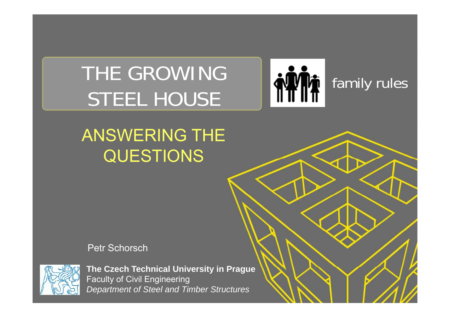# THE GROWING **family rules**



## ANSWERING THE QUESTIONS

Petr Schorsch



The Czech Technical University in Prague Faculty of Civil Engineering *Department of Steel and Timber Structures*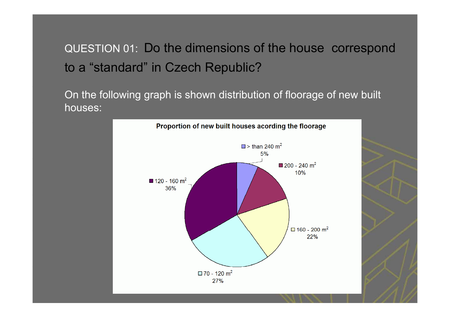## QUESTION 01: Do the dimensions of the house correspond to a "standard" in Czech Republic?

On the following graph is shown distribution of floorage of new built houses:

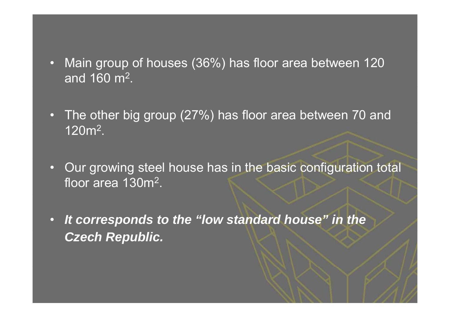- • Main group of houses (36%) has floor area between 120 and 160 m<sup>2</sup>.
- • The other big group (27%) has floor area between 70 and  $120$ m $^2$ . $\,$
- • Our growing steel house has in the basic configuration total floor area 130m<sup>2</sup>.
- • *It corresponds to the "low standard house" in the Czech Republic.*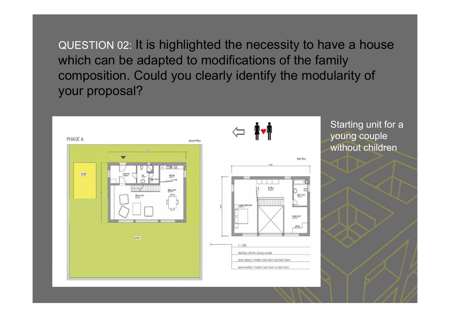QUESTION 02: It is highlighted the necessity to have a house which can be adapted to modifications of the family composition. Could you clearly identify the modularity of your proposal?



Starting unit for <sup>a</sup> young couple without children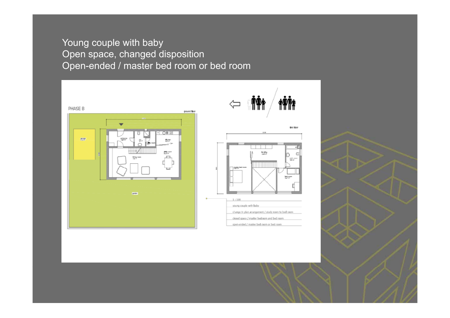#### Young couple with baby Open space, changed disposition Open-ended / master bed room or bed room

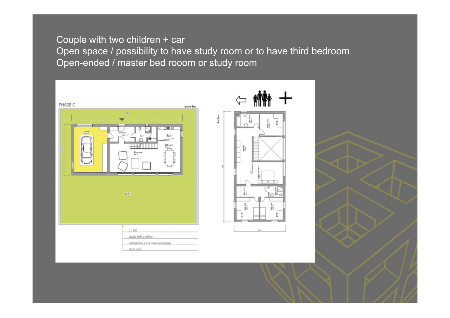#### Couple with two children + car Open space / possibility to have study room or to have third bedroom Open-ended / master bed rooom or study room

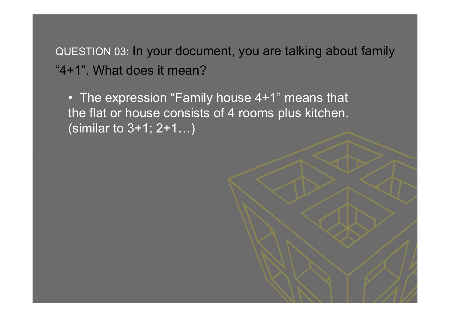QUESTION 03: In your document, you are talking about family "4+1". What does it mean?

• The expression "Family house 4+1" means that the flat or house consists of 4 rooms plus kitchen. (similar to 3+1; 2+1…)

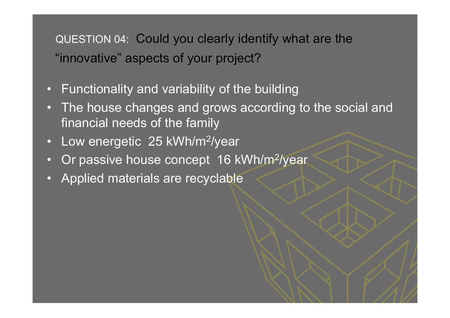QUESTION 04: Could you clearly identify what are the "innovative" aspects of your project?

- Functionality and variability of the building  $\bigcap$
- $\bigcap$  The house changes and grows according to the social and financial needs of the family
- $\Box$ Low energetic 25 kWh/m<sup>2</sup>/year
- •Or passive house concept 16 kWh/m<sup>2</sup>/year
- •Applied materials are recyclable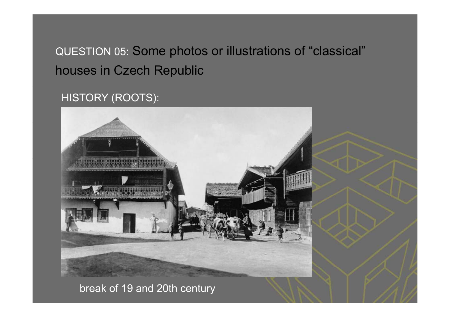QUESTION 05: Some photos or illustrations of "classical" houses in Czech Republic

#### HISTORY (ROOTS):



#### break of 19 and 20th century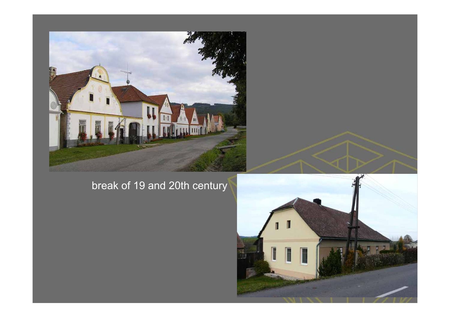

### break of 19 and 20th century

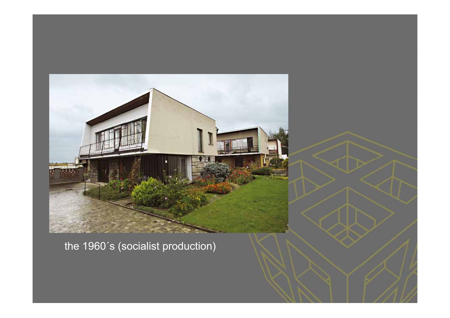

the 1960´s (socialist production)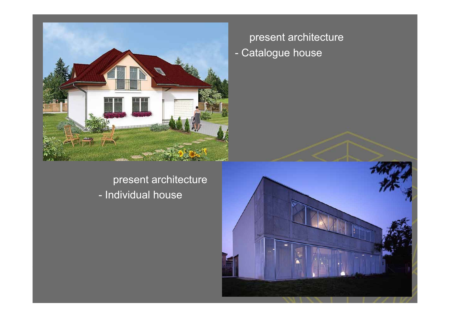

present architecture - Individual house

present architecture - Catalogue house